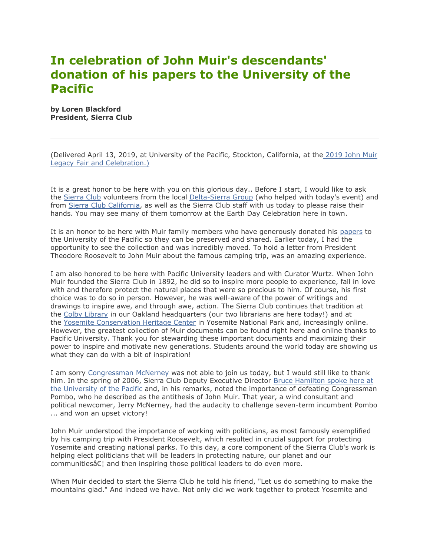## **In celebration of John Muir's descendants' donation of his papers to the University of the Pacific**

**by Loren Blackford President, Sierra Club**

(Delivered April 13, 2019, at University of the Pacific, Stockton, California, at the [2019 John Muir](https://vault.sierraclub.org/john_muir_exhibit/uop/2019/default.aspx)  [Legacy Fair and Celebration.\)](https://vault.sierraclub.org/john_muir_exhibit/uop/2019/default.aspx)

It is a great honor to be here with you on this glorious day.. Before I start, I would like to ask the [Sierra Club](https://www.sierraclub.org/) volunteers from the local [Delta-Sierra Group](https://www.sierraclub.org/mother-lode/delta-sierra) (who helped with today's event) and from [Sierra Club California,](https://www.sierraclub.org/california) as well as the Sierra Club staff with us today to please raise their hands. You may see many of them tomorrow at the Earth Day Celebration here in town.

It is an honor to be here with Muir family members who have generously donated his [papers](https://www.pacific.edu/university-libraries/find/holt-atherton-special-collections/john-muir-papers.html) to the University of the Pacific so they can be preserved and shared. Earlier today, I had the opportunity to see the collection and was incredibly moved. To hold a letter from President Theodore Roosevelt to John Muir about the famous camping trip, was an amazing experience.

I am also honored to be here with Pacific University leaders and with Curator Wurtz. When John Muir founded the Sierra Club in 1892, he did so to inspire more people to experience, fall in love with and therefore protect the natural places that were so precious to him. Of course, his first choice was to do so in person. However, he was well-aware of the power of writings and drawings to inspire awe, and through awe, action. The Sierra Club continues that tradition at the [Colby Library](https://www.sierraclub.org/library) in our Oakland headquarters (our two librarians are here today!) and at the [Yosemite Conservation Heritage Center](https://www.sierraclub.org/yosemite-conservation-heritage-center) in Yosemite National Park and, increasingly online. However, the greatest collection of Muir documents can be found right here and online thanks to Pacific University. Thank you for stewarding these important documents and maximizing their power to inspire and motivate new generations. Students around the world today are showing us what they can do with a bit of inspiration!

I am sorry [Congressman McNerney](https://en.wikipedia.org/wiki/Jerry_McNerney) was not able to join us today, but I would still like to thank him. In the spring of 2006, Sierra Club Deputy Executive Director [Bruce Hamilton spoke here at](https://vault.sierraclub.org/john_muir_exhibit/uop/2006/hamilton.aspx)  [the University of the Pacific](https://vault.sierraclub.org/john_muir_exhibit/uop/2006/hamilton.aspx) and, in his remarks, noted the importance of defeating Congressman Pombo, who he described as the antithesis of John Muir. That year, a wind consultant and political newcomer, Jerry McNerney, had the audacity to challenge seven-term incumbent Pombo ... and won an upset victory!

John Muir understood the importance of working with politicians, as most famously exemplified by his camping trip with President Roosevelt, which resulted in crucial support for protecting Yosemite and creating national parks. To this day, a core component of the Sierra Club's work is helping elect politicians that will be leaders in protecting nature, our planet and our communities $\hat{\alpha} \in \mathcal{C}$  and then inspiring those political leaders to do even more.

When Muir decided to start the Sierra Club he told his friend, "Let us do something to make the mountains glad." And indeed we have. Not only did we work together to protect Yosemite and